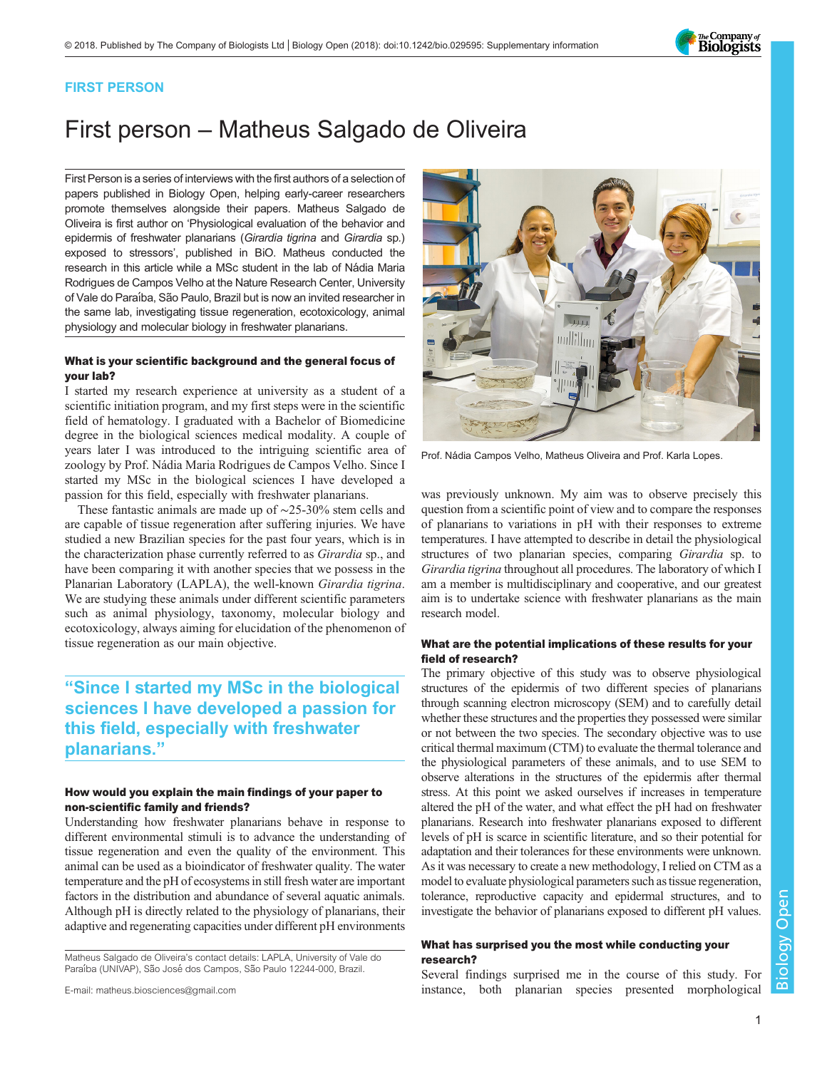

### FIRST PERSON

# First person – Matheus Salgado de Oliveira

First Person is a series of interviews with the first authors of a selection of papers published in Biology Open, helping early-career researchers promote themselves alongside their papers. Matheus Salgado de Oliveira is first author on '[Physiological evaluation of the behavior and](#page-1-0) [epidermis of freshwater planarians \(](#page-1-0)Girardia tigrina and Girardia sp.) [exposed to stressors](#page-1-0)', published in BiO. Matheus conducted the research in this article while a MSc student in the lab of Nádia Maria Rodrigues de Campos Velho at the Nature Research Center, University of Vale do Paraíba, São Paulo, Brazil but is now an invited researcher in the same lab, investigating tissue regeneration, ecotoxicology, animal physiology and molecular biology in freshwater planarians.

#### What is your scientific background and the general focus of your lab?

I started my research experience at university as a student of a scientific initiation program, and my first steps were in the scientific field of hematology. I graduated with a Bachelor of Biomedicine degree in the biological sciences medical modality. A couple of years later I was introduced to the intriguing scientific area of zoology by Prof. Nádia Maria Rodrigues de Campos Velho. Since I started my MSc in the biological sciences I have developed a passion for this field, especially with freshwater planarians.

These fantastic animals are made up of ∼25-30% stem cells and are capable of tissue regeneration after suffering injuries. We have studied a new Brazilian species for the past four years, which is in the characterization phase currently referred to as Girardia sp., and have been comparing it with another species that we possess in the Planarian Laboratory (LAPLA), the well-known Girardia tigrina. We are studying these animals under different scientific parameters such as animal physiology, taxonomy, molecular biology and ecotoxicology, always aiming for elucidation of the phenomenon of tissue regeneration as our main objective.

### "Since I started my MSc in the biological sciences I have developed a passion for this field, especially with freshwater planarians."

#### How would you explain the main findings of your paper to non-scientific family and friends?

Understanding how freshwater planarians behave in response to different environmental stimuli is to advance the understanding of tissue regeneration and even the quality of the environment. This animal can be used as a bioindicator of freshwater quality. The water temperature and the pH of ecosystems in still fresh water are important factors in the distribution and abundance of several aquatic animals. Although pH is directly related to the physiology of planarians, their adaptive and regenerating capacities under different pH environments

Matheus Salgado de Oliveira's contact details: LAPLA, University of Vale do Paraíba (UNIVAP), São José dos Campos, São Paulo 12244-000, Brazil.





Prof. Nádia Campos Velho, Matheus Oliveira and Prof. Karla Lopes.

was previously unknown. My aim was to observe precisely this question from a scientific point of view and to compare the responses of planarians to variations in pH with their responses to extreme temperatures. I have attempted to describe in detail the physiological structures of two planarian species, comparing Girardia sp. to Girardia tigrina throughout all procedures. The laboratory of which I am a member is multidisciplinary and cooperative, and our greatest aim is to undertake science with freshwater planarians as the main research model.

#### What are the potential implications of these results for your field of research?

The primary objective of this study was to observe physiological structures of the epidermis of two different species of planarians through scanning electron microscopy (SEM) and to carefully detail whether these structures and the properties they possessed were similar or not between the two species. The secondary objective was to use critical thermal maximum (CTM) to evaluate the thermal tolerance and the physiological parameters of these animals, and to use SEM to observe alterations in the structures of the epidermis after thermal stress. At this point we asked ourselves if increases in temperature altered the pH of the water, and what effect the pH had on freshwater planarians. Research into freshwater planarians exposed to different levels of pH is scarce in scientific literature, and so their potential for adaptation and their tolerances for these environments were unknown. As it was necessary to create a new methodology, I relied on CTM as a model to evaluate physiological parameters such as tissue regeneration, tolerance, reproductive capacity and epidermal structures, and to investigate the behavior of planarians exposed to different pH values.

#### What has surprised you the most while conducting your research?

Several findings surprised me in the course of this study. For instance, both planarian species presented morphological